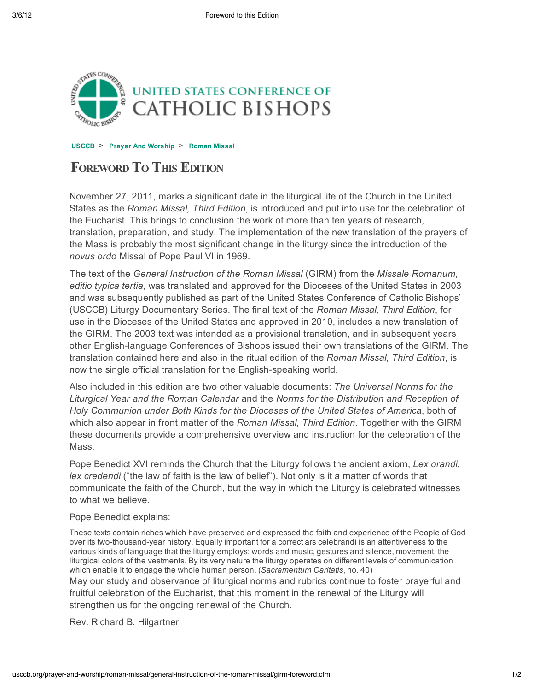

**USCCB** > **Prayer And Worship** > **Roman Missal**

## **FOREWORD TO THIS EDITION**

November 27, 2011, marks a significant date in the liturgical life of the Church in the United States as the *Roman Missal, Third Edition*, is introduced and put into use for the celebration of the Eucharist. This brings to conclusion the work of more than ten years of research, translation, preparation, and study. The implementation of the new translation of the prayers of the Mass is probably the most significant change in the liturgy since the introduction of the *novus ordo* Missal of Pope Paul VI in 1969.

The text of the *General Instruction of the Roman Missal* (GIRM) from the *Missale Romanum, editio typica tertia*, was translated and approved for the Dioceses of the United States in 2003 and was subsequently published as part of the United States Conference of Catholic Bishops' (USCCB) Liturgy Documentary Series. The final text of the *Roman Missal, Third Edition*, for use in the Dioceses of the United States and approved in 2010, includes a new translation of the GIRM. The 2003 text was intended as a provisional translation, and in subsequent years other English-language Conferences of Bishops issued their own translations of the GIRM. The translation contained here and also in the ritual edition of the *Roman Missal, Third Edition*, is now the single official translation for the English-speaking world.

Also included in this edition are two other valuable documents: *The Universal Norms for the Liturgical Year and the Roman Calendar* and the *Norms for the Distribution and Reception of Holy Communion under Both Kinds for the Dioceses of the United States of America*, both of which also appear in front matter of the *Roman Missal, Third Edition*. Together with the GIRM these documents provide a comprehensive overview and instruction for the celebration of the Mass.

Pope Benedict XVI reminds the Church that the Liturgy follows the ancient axiom, *Lex orandi, lex credendi* ("the law of faith is the law of belief"). Not only is it a matter of words that communicate the faith of the Church, but the way in which the Liturgy is celebrated witnesses to what we believe.

Pope Benedict explains:

These texts contain riches which have preserved and expressed the faith and experience of the People of God over its two-thousand-year history. Equally important for a correct ars celebrandi is an attentiveness to the various kinds of language that the liturgy employs: words and music, gestures and silence, movement, the liturgical colors of the vestments. By its very nature the liturgy operates on different levels of communication which enable it to engage the whole human person. (*Sacramentum Caritatis*, no. 40)

May our study and observance of liturgical norms and rubrics continue to foster prayerful and fruitful celebration of the Eucharist, that this moment in the renewal of the Liturgy will strengthen us for the ongoing renewal of the Church.

Rev. Richard B. Hilgartner